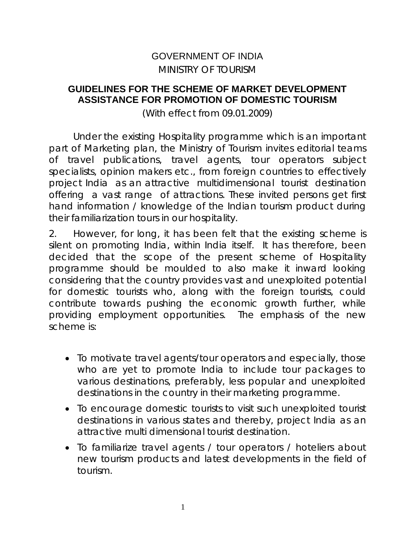# GOVERNMENT OF INDIA MINISTRY OF TOURISM

### **GUIDELINES FOR THE SCHEME OF MARKET DEVELOPMENT ASSISTANCE FOR PROMOTION OF DOMESTIC TOURISM**

(With effect from 09.01.2009)

Under the existing Hospitality programme which is an important part of Marketing plan, the Ministry of Tourism invites editorial teams of travel publications, travel agents, tour operators subject specialists, opinion makers etc., from foreign countries to effectively project India as an attractive multidimensional tourist destination offering a vast range of attractions. These invited persons get first hand information / knowledge of the Indian tourism product during their familiarization tours in our hospitality.

2. However, for long, it has been felt that the existing scheme is silent on promoting India, within India itself. It has therefore, been decided that the scope of the present scheme of Hospitality programme should be moulded to also make it inward looking considering that the country provides vast and unexploited potential for domestic tourists who, along with the foreign tourists, could contribute towards pushing the economic growth further, while providing employment opportunities. The emphasis of the new scheme is:

- To motivate travel agents/tour operators and especially, those who are yet to promote India to include tour packages to various destinations, preferably, less popular and unexploited destinations in the country in their marketing programme.
- To encourage domestic tourists to visit such unexploited tourist destinations in various states and thereby, project India as an attractive multi dimensional tourist destination.
- To familiarize travel agents / tour operators / hoteliers about new tourism products and latest developments in the field of tourism.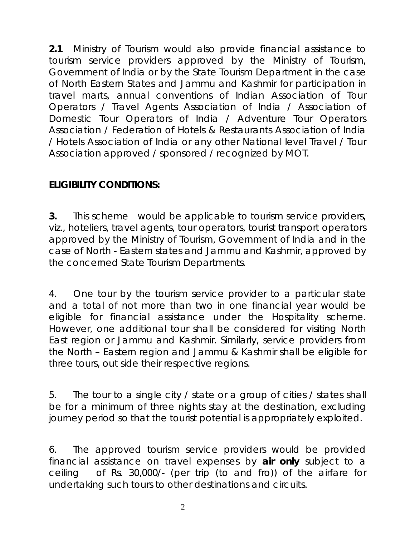**2.1** Ministry of Tourism would also provide financial assistance to tourism service providers approved by the Ministry of Tourism, Government of India or by the State Tourism Department in the case of North Eastern States and Jammu and Kashmir for participation in travel marts, annual conventions of Indian Association of Tour Operators / Travel Agents Association of India / Association of Domestic Tour Operators of India / Adventure Tour Operators Association / Federation of Hotels & Restaurants Association of India / Hotels Association of India or any other National level Travel / Tour Association approved / sponsored / recognized by MOT.

# **ELIGIBILITY CONDITIONS:**

**3.** This scheme would be applicable to tourism service providers, viz., hoteliers, travel agents, tour operators, tourist transport operators approved by the Ministry of Tourism, Government of India and in the case of North - Eastern states and Jammu and Kashmir, approved by the concerned State Tourism Departments.

4. One tour by the tourism service provider to a particular state and a total of not more than two in one financial year would be eligible for financial assistance under the Hospitality scheme. However, one additional tour shall be considered for visiting North East region or Jammu and Kashmir. Similarly, service providers from the North – Eastern region and Jammu & Kashmir shall be eligible for three tours, out side their respective regions.

5. The tour to a single city / state or a group of cities / states shall be for a minimum of three nights stay at the destination, excluding journey period so that the tourist potential is appropriately exploited.

6. The approved tourism service providers would be provided financial assistance on travel expenses by *air only* subject to a ceiling of Rs. 30,000/- (per trip (to and fro)) of the airfare for undertaking such tours to other destinations and circuits.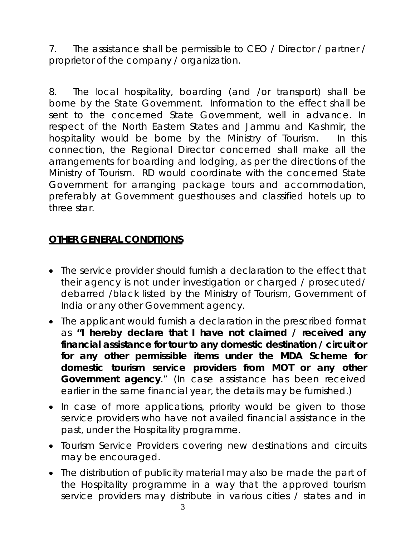7. The assistance shall be permissible to CEO / Director / partner / proprietor of the company / organization.

8. The local hospitality, boarding (and /or transport) shall be borne by the State Government. Information to the effect shall be sent to the concerned State Government, well in advance. In respect of the North Eastern States and Jammu and Kashmir, the hospitality would be borne by the Ministry of Tourism. In this connection, the Regional Director concerned shall make all the arrangements for boarding and lodging, as per the directions of the Ministry of Tourism. RD would coordinate with the concerned State Government for arranging package tours and accommodation, preferably at Government guesthouses and classified hotels up to three star.

# **OTHER GENERAL CONDITIONS**

- The service provider should furnish a declaration to the effect that their agency is not under investigation or charged / prosecuted/ debarred /black listed by the Ministry of Tourism, Government of India or any other Government agency.
- The applicant would furnish a declaration in the prescribed format as **"***I hereby declare that I have not claimed / received any financial assistance for tour to any domestic destination / circuit or for any other permissible items under the MDA Scheme for domestic tourism service providers from MOT or any other Government agency."* (In case assistance has been received earlier in the same financial year, the details may be furnished.)
- In case of more applications, priority would be given to those service providers who have not availed financial assistance in the past, under the Hospitality programme.
- Tourism Service Providers covering new destinations and circuits may be encouraged.
- The distribution of publicity material may also be made the part of the Hospitality programme in a way that the approved tourism service providers may distribute in various cities / states and in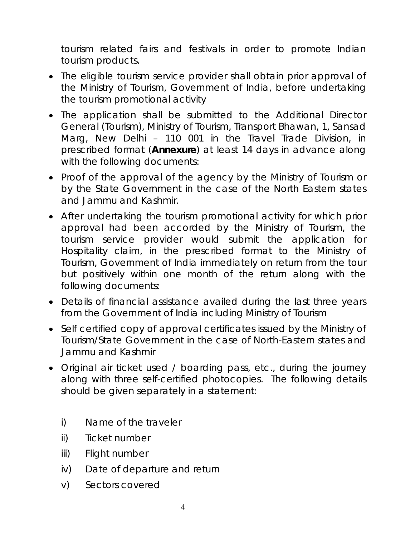tourism related fairs and festivals in order to promote Indian tourism products.

- The eligible tourism service provider shall obtain prior approval of the Ministry of Tourism, Government of India, before undertaking the tourism promotional activity
- The application shall be submitted to the Additional Director General (Tourism), Ministry of Tourism, Transport Bhawan, 1, Sansad Marg, New Delhi – 110 001 in the Travel Trade Division, in prescribed format (*Annexure*) at least 14 days in advance along with the following documents:
- Proof of the approval of the agency by the Ministry of Tourism or by the State Government in the case of the North Eastern states and Jammu and Kashmir.
- After undertaking the tourism promotional activity for which prior approval had been accorded by the Ministry of Tourism, the tourism service provider would submit the application for Hospitality claim, in the prescribed format to the Ministry of Tourism, Government of India immediately on return from the tour but positively within one month of the return along with the following documents:
- Details of financial assistance availed during the last three years from the Government of India including Ministry of Tourism
- Self certified copy of approval certificates issued by the Ministry of Tourism/State Government in the case of North-Eastern states and Jammu and Kashmir
- Original air ticket used / boarding pass, etc., during the journey along with three self-certified photocopies. The following details should be given separately in a statement:
	- i) Name of the traveler
	- ii) Ticket number
	- iii) Flight number
	- iv) Date of departure and return
	- v) Sectors covered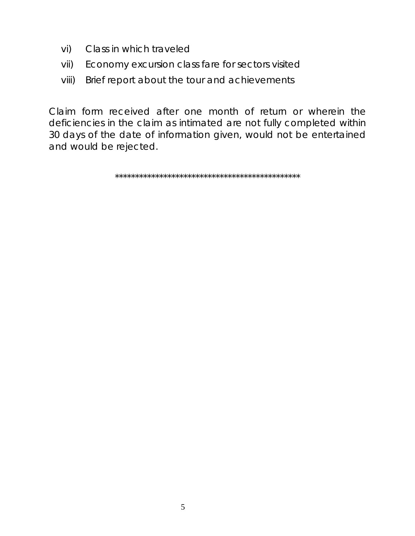- vi) Class in which traveled
- vii) Economy excursion class fare for sectors visited
- viii) Brief report about the tour and achievements

Claim form received after one month of return or wherein the deficiencies in the claim as intimated are not fully completed within 30 days of the date of information given, would not be entertained and would be rejected.

\*\*\*\*\*\*\*\*\*\*\*\*\*\*\*\*\*\*\*\*\*\*\*\*\*\*\*\*\*\*\*\*\*\*\*\*\*\*\*\*\*\*\*\*\*\*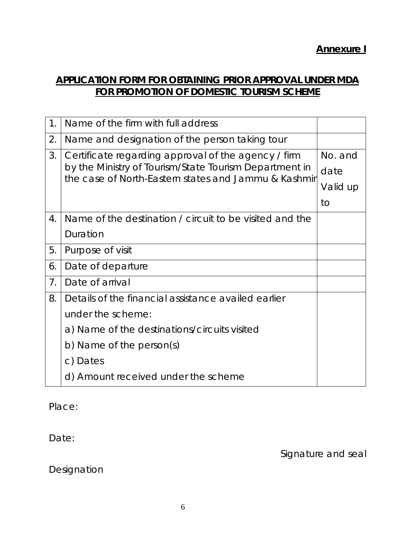## **APPLICATION FORM FOR OBTAINING PRIOR APPROVAL UNDER MDA FOR PROMOTION OF DOMESTIC TOURISM SCHEME**

| 1.             | Name of the firm with full address                                                                                                                                    |          |
|----------------|-----------------------------------------------------------------------------------------------------------------------------------------------------------------------|----------|
| 2.             | Name and designation of the person taking tour                                                                                                                        |          |
| 3.             | Certificate regarding approval of the agency / firm<br>by the Ministry of Tourism/State Tourism Department in<br>the case of North-Eastern states and Jammu & Kashmir | No. and  |
|                |                                                                                                                                                                       | date     |
|                |                                                                                                                                                                       | Valid up |
|                |                                                                                                                                                                       | to       |
| 4.             | Name of the destination / circuit to be visited and the                                                                                                               |          |
|                | Duration                                                                                                                                                              |          |
| 5.             | Purpose of visit                                                                                                                                                      |          |
| 6.             | Date of departure                                                                                                                                                     |          |
| 7 <sub>1</sub> | Date of arrival                                                                                                                                                       |          |
| 8.             | Details of the financial assistance availed earlier                                                                                                                   |          |
|                | under the scheme:                                                                                                                                                     |          |
|                | a) Name of the destinations/circuits visited                                                                                                                          |          |
|                | b) Name of the person(s)                                                                                                                                              |          |
|                | c) Dates                                                                                                                                                              |          |
|                | d) Amount received under the scheme                                                                                                                                   |          |

Place:

Date:

Signature and seal

Designation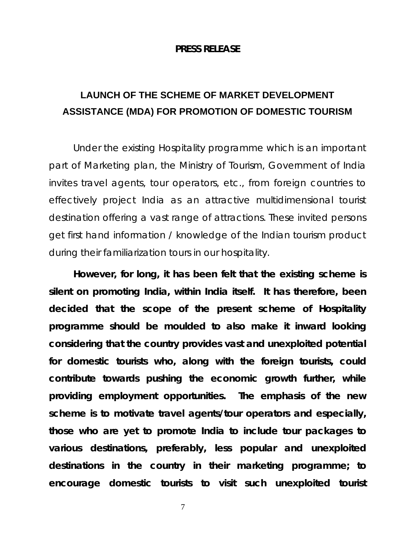### **PRESS RELEASE**

# **LAUNCH OF THE SCHEME OF MARKET DEVELOPMENT ASSISTANCE (MDA) FOR PROMOTION OF DOMESTIC TOURISM**

Under the existing Hospitality programme which is an important part of Marketing plan, the Ministry of Tourism, Government of India invites travel agents, tour operators, etc., from foreign countries to effectively project India as an attractive multidimensional tourist destination offering a vast range of attractions. These invited persons get first hand information / knowledge of the Indian tourism product during their familiarization tours in our hospitality.

**However, for long, it has been felt that the existing scheme is silent on promoting India, within India itself. It has therefore, been decided that the scope of the present scheme of Hospitality programme should be moulded to also make it inward looking considering that the country provides vast and unexploited potential for domestic tourists who, along with the foreign tourists, could contribute towards pushing the economic growth further, while providing employment opportunities. The emphasis of the new scheme is to motivate travel agents/tour operators and especially, those who are yet to promote India to include tour packages to various destinations, preferably, less popular and unexploited destinations in the country in their marketing programme; to encourage domestic tourists to visit such unexploited tourist**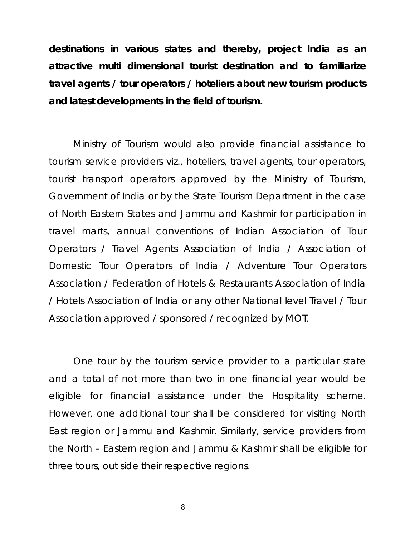**destinations in various states and thereby, project India as an attractive multi dimensional tourist destination and to familiarize travel agents / tour operators / hoteliers about new tourism products and latest developments in the field of tourism.** 

Ministry of Tourism would also provide financial assistance to tourism service providers viz., hoteliers, travel agents, tour operators, tourist transport operators approved by the Ministry of Tourism, Government of India or by the State Tourism Department in the case of North Eastern States and Jammu and Kashmir for participation in travel marts, annual conventions of Indian Association of Tour Operators / Travel Agents Association of India / Association of Domestic Tour Operators of India / Adventure Tour Operators Association / Federation of Hotels & Restaurants Association of India / Hotels Association of India or any other National level Travel / Tour Association approved / sponsored / recognized by MOT.

One tour by the tourism service provider to a particular state and a total of not more than two in one financial year would be eligible for financial assistance under the Hospitality scheme. However, one additional tour shall be considered for visiting North East region or Jammu and Kashmir. Similarly, service providers from the North – Eastern region and Jammu & Kashmir shall be eligible for three tours, out side their respective regions.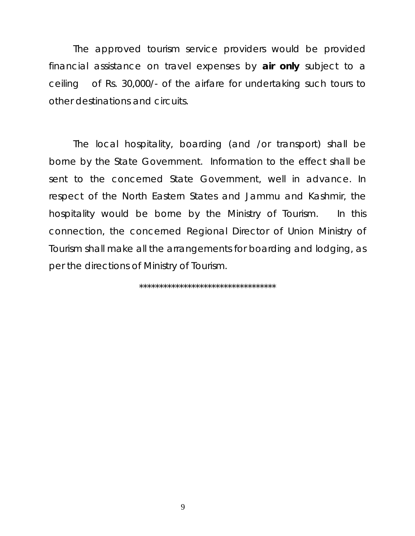The approved tourism service providers would be provided financial assistance on travel expenses by *air only* subject to a ceiling of Rs. 30,000/- of the airfare for undertaking such tours to other destinations and circuits.

The local hospitality, boarding (and /or transport) shall be borne by the State Government. Information to the effect shall be sent to the concerned State Government, well in advance. In respect of the North Eastern States and Jammu and Kashmir, the hospitality would be borne by the Ministry of Tourism. In this connection, the concerned Regional Director of Union Ministry of Tourism shall make all the arrangements for boarding and lodging, as per the directions of Ministry of Tourism.

\*\*\*\*\*\*\*\*\*\*\*\*\*\*\*\*\*\*\*\*\*\*\*\*\*\*\*\*\*\*\*\*\*\*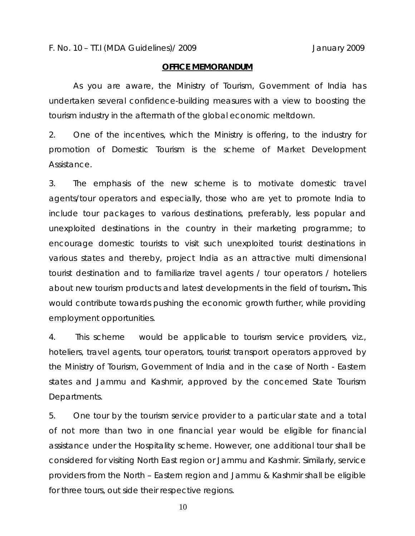### **OFFICE MEMORANDUM**

 As you are aware, the Ministry of Tourism, Government of India has undertaken several confidence-building measures with a view to boosting the tourism industry in the aftermath of the global economic meltdown.

2. One of the incentives, which the Ministry is offering, to the industry for promotion of Domestic Tourism is the scheme of Market Development Assistance.

3. The emphasis of the new scheme is to motivate domestic travel agents/tour operators and especially, those who are yet to promote India to include tour packages to various destinations, preferably, less popular and unexploited destinations in the country in their marketing programme; to encourage domestic tourists to visit such unexploited tourist destinations in various states and thereby, project India as an attractive multi dimensional tourist destination and to familiarize travel agents / tour operators / hoteliers about new tourism products and latest developments in the field of tourism**.** This would contribute towards pushing the economic growth further, while providing employment opportunities.

4. This scheme would be applicable to tourism service providers, viz., hoteliers, travel agents, tour operators, tourist transport operators approved by the Ministry of Tourism, Government of India and in the case of North - Eastern states and Jammu and Kashmir, approved by the concerned State Tourism Departments.

5. One tour by the tourism service provider to a particular state and a total of not more than two in one financial year would be eligible for financial assistance under the Hospitality scheme. However, one additional tour shall be considered for visiting North East region or Jammu and Kashmir. Similarly, service providers from the North – Eastern region and Jammu & Kashmir shall be eligible for three tours, out side their respective regions.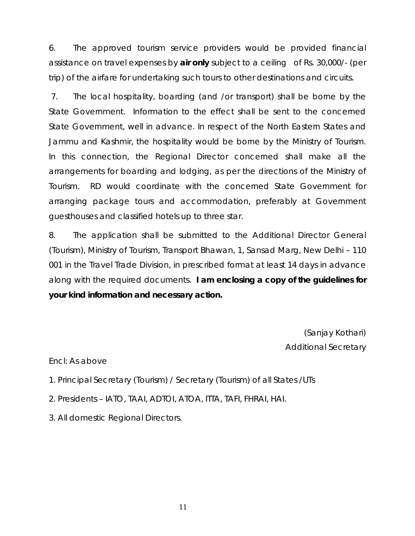6. The approved tourism service providers would be provided financial assistance on travel expenses by *air only* subject to a ceiling of Rs. 30,000/- (per trip) of the airfare for undertaking such tours to other destinations and circuits.

 7. The local hospitality, boarding (and /or transport) shall be borne by the State Government. Information to the effect shall be sent to the concerned State Government, well in advance. In respect of the North Eastern States and Jammu and Kashmir, the hospitality would be borne by the Ministry of Tourism. In this connection, the Regional Director concerned shall make all the arrangements for boarding and lodging, as per the directions of the Ministry of Tourism. RD would coordinate with the concerned State Government for arranging package tours and accommodation, preferably at Government guesthouses and classified hotels up to three star.

8. The application shall be submitted to the Additional Director General (Tourism), Ministry of Tourism, Transport Bhawan, 1, Sansad Marg, New Delhi – 110 001 in the Travel Trade Division, in prescribed format at least 14 days in advance along with the required documents. **I am enclosing a copy of the guidelines for your kind information and necessary action.** 

> (Sanjay Kothari) Additional Secretary

Encl: As above

- 1. Principal Secretary (Tourism) / Secretary (Tourism) of all States /UTs
- 2. Presidents IATO, TAAI, ADTOI, ATOA, ITTA, TAFI, FHRAI, HAI.
- 3. All domestic Regional Directors.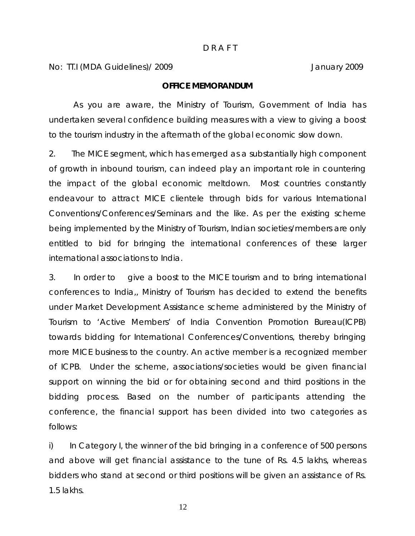No: TT.I (MDA Guidelines)/ 2009 January 2009

### **OFFICE MEMORANDUM**

 As you are aware, the Ministry of Tourism, Government of India has undertaken several confidence building measures with a view to giving a boost to the tourism industry in the aftermath of the global economic slow down.

2. The MICE segment, which has emerged as a substantially high component of growth in inbound tourism, can indeed play an important role in countering the impact of the global economic meltdown. Most countries constantly endeavour to attract MICE clientele through bids for various International Conventions/Conferences/Seminars and the like. As per the existing scheme being implemented by the Ministry of Tourism, Indian societies/members are only entitled to bid for bringing the international conferences of these larger international associations to India.

3. In order to give a boost to the MICE tourism and to bring international conferences to India,, Ministry of Tourism has decided to extend the benefits under Market Development Assistance scheme administered by the Ministry of Tourism to 'Active Members' of India Convention Promotion Bureau(ICPB) towards bidding for International Conferences/Conventions, thereby bringing more MICE business to the country. An active member is a recognized member of ICPB. Under the scheme, associations/societies would be given financial support on winning the bid or for obtaining second and third positions in the bidding process. Based on the number of participants attending the conference, the financial support has been divided into two categories as follows:

i) In Category I, the winner of the bid bringing in a conference of 500 persons and above will get financial assistance to the tune of Rs. 4.5 lakhs, whereas bidders who stand at second or third positions will be given an assistance of Rs. 1.5 lakhs.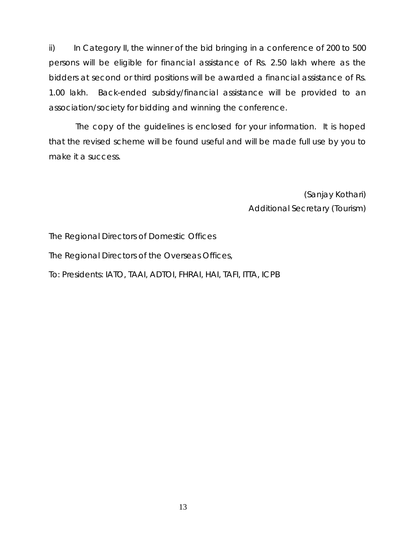ii) In Category II, the winner of the bid bringing in a conference of 200 to 500 persons will be eligible for financial assistance of Rs. 2.50 lakh where as the bidders at second or third positions will be awarded a financial assistance of Rs. 1.00 lakh. Back-ended subsidy/financial assistance will be provided to an association/society for bidding and winning the conference.

 The copy of the guidelines is enclosed for your information. It is hoped that the revised scheme will be found useful and will be made full use by you to make it a success.

> (Sanjay Kothari) Additional Secretary (Tourism)

The Regional Directors of Domestic Offices

The Regional Directors of the Overseas Offices,

To: Presidents: IATO, TAAI, ADTOI, FHRAI, HAI, TAFI, ITTA, ICPB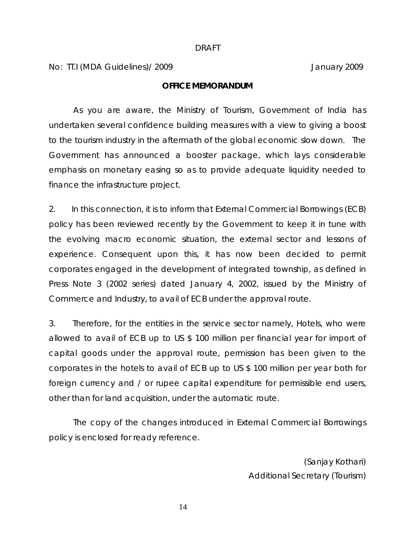#### DRAFT

No: TT.I (MDA Guidelines)/ 2009 January 2009

### **OFFICE MEMORANDUM**

As you are aware, the Ministry of Tourism, Government of India has undertaken several confidence building measures with a view to giving a boost to the tourism industry in the aftermath of the global economic slow down. The Government has announced a booster package, which lays considerable emphasis on monetary easing so as to provide adequate liquidity needed to finance the infrastructure project.

2. In this connection, it is to inform that External Commercial Borrowings (ECB) policy has been reviewed recently by the Government to keep it in tune with the evolving macro economic situation, the external sector and lessons of experience. Consequent upon this, it has now been decided to permit corporates engaged in the development of integrated township, as defined in Press Note 3 (2002 series) dated January 4, 2002, issued by the Ministry of Commerce and Industry, to avail of ECB under the approval route.

3. Therefore, for the entities in the service sector namely, Hotels, who were allowed to avail of ECB up to US \$ 100 million per financial year for import of capital goods under the approval route, permission has been given to the corporates in the hotels to avail of ECB up to US \$ 100 million per year both for foreign currency and / or rupee capital expenditure for permissible end users, other than for land acquisition, under the automatic route.

The copy of the changes introduced in External Commercial Borrowings policy is enclosed for ready reference.

> (Sanjay Kothari) Additional Secretary (Tourism)